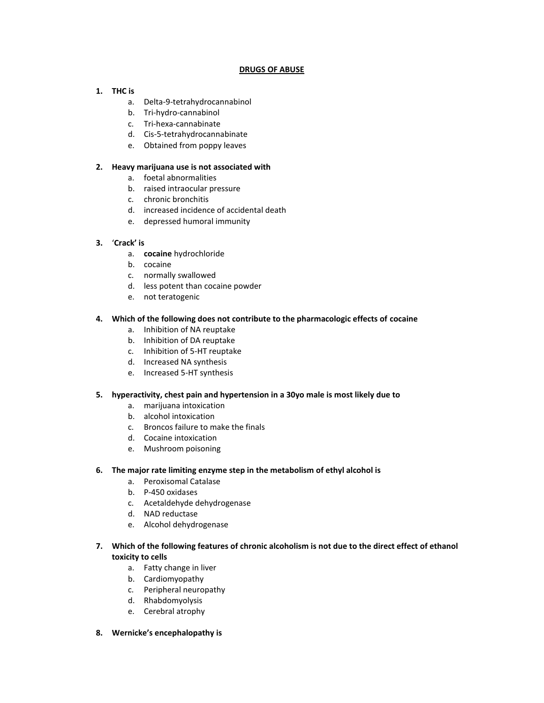## **DRUGS OF ABUSE**

## **1. THC is**

- a. Delta-9-tetrahydrocannabinol
- b. Tri-hydro-cannabinol
- c. Tri-hexa-cannabinate
- d. Cis-5-tetrahydrocannabinate
- e. Obtained from poppy leaves

## **2. Heavy marijuana use is not associated with**

- a. foetal abnormalities
- b. raised intraocular pressure
- c. chronic bronchitis
- d. increased incidence of accidental death
- e. depressed humoral immunity

# **3.** '**Crack' is**

- a. **cocaine** hydrochloride
- b. cocaine
- c. normally swallowed
- d. less potent than cocaine powder
- e. not teratogenic

## **4. Which of the following does not contribute to the pharmacologic effects of cocaine**

- a. Inhibition of NA reuptake
- b. Inhibition of DA reuptake
- c. Inhibition of 5-HT reuptake
- d. Increased NA synthesis
- e. Increased 5-HT synthesis

## **5. hyperactivity, chest pain and hypertension in a 30yo male is most likely due to**

- a. marijuana intoxication
- b. alcohol intoxication
- c. Broncos failure to make the finals
- d. Cocaine intoxication
- e. Mushroom poisoning

## **6. The major rate limiting enzyme step in the metabolism of ethyl alcohol is**

- a. Peroxisomal Catalase
- b. P-450 oxidases
- c. Acetaldehyde dehydrogenase
- d. NAD reductase
- e. Alcohol dehydrogenase
- **7. Which of the following features of chronic alcoholism is not due to the direct effect of ethanol toxicity to cells**
	- a. Fatty change in liver
	- b. Cardiomyopathy
	- c. Peripheral neuropathy
	- d. Rhabdomyolysis
	- e. Cerebral atrophy
- **8. Wernicke's encephalopathy is**